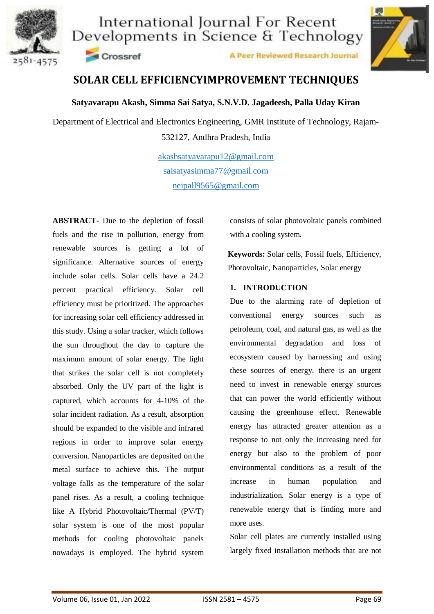



Crossref

A Peer Reviewed Research Journal

## **SOLAR CELL EFFICIENCYIMPROVEMENT TECHNIQUES**

### **Satyavarapu Akash, Simma Sai Satya, S.N.V.D. Jagadeesh, Palla Uday Kiran**

Department of Electrical and Electronics Engineering, GMR Institute of Technology, Rajam-532127, Andhra Pradesh, India

> [akashsatyavarapu12@gmail.com](mailto:akashsatyavarapu12@gmail.com) [saisatyasimma77@gmail.com](mailto:saisatyasimma77@gmail.com) neipall9565@gmail.com

**ABSTRACT-** Due to the depletion of fossil fuels and the rise in pollution, energy from renewable sources is getting a lot of significance. Alternative sources of energy include solar cells. Solar cells have a 24.2 percent practical efficiency. Solar cell efficiency must be prioritized. The approaches for increasing solar cell efficiency addressed in this study. Using a solar tracker, which follows the sun throughout the day to capture the maximum amount of solar energy. The light that strikes the solar cell is not completely absorbed. Only the UV part of the light is captured, which accounts for 4-10% of the solar incident radiation. As a result, absorption should be expanded to the visible and infrared regions in order to improve solar energy conversion. Nanoparticles are deposited on the metal surface to achieve this. The output voltage falls as the temperature of the solar panel rises. As a result, a cooling technique like A Hybrid Photovoltaic/Thermal (PV/T) solar system is one of the most popular methods for cooling photovoltaic panels nowadays is employed. The hybrid system consists of solar photovoltaic panels combined with a cooling system.

**Keywords:** Solar cells, Fossil fuels, Efficiency, Photovoltaic, Nanoparticles, Solar energy

### **1. INTRODUCTION**

Due to the alarming rate of depletion of conventional energy sources such as petroleum, coal, and natural gas, as well as the environmental degradation and loss of ecosystem caused by harnessing and using these sources of energy, there is an urgent need to invest in renewable energy sources that can power the world efficiently without causing the greenhouse effect. Renewable energy has attracted greater attention as a response to not only the increasing need for energy but also to the problem of poor environmental conditions as a result of the increase in human population and industrialization. Solar energy is a type of renewable energy that is finding more and more uses.

Solar cell plates are currently installed using largely fixed installation methods that are not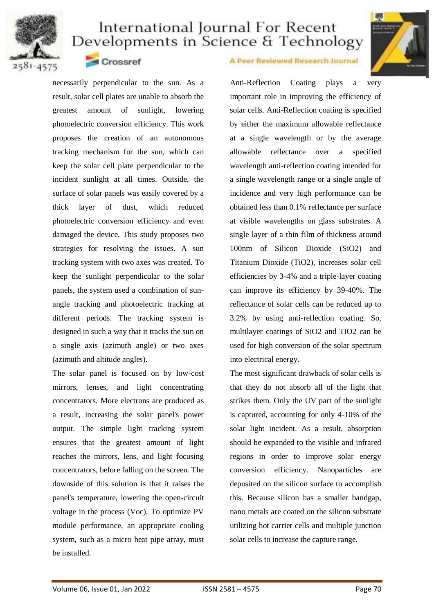



Crossref

necessarily perpendicular to the sun. As a result, solar cell plates are unable to absorb the greatest amount of sunlight, lowering photoelectric conversion efficiency. This work proposes the creation of an autonomous tracking mechanism for the sun, which can keep the solar cell plate perpendicular to the incident sunlight at all times. Outside, the surface of solar panels was easily covered by a thick layer of dust, which reduced photoelectric conversion efficiency and even damaged the device. This study proposes two strategies for resolving the issues. A sun tracking system with two axes was created. To keep the sunlight perpendicular to the solar panels, the system used a combination of sunangle tracking and photoelectric tracking at different periods. The tracking system is designed in such a way that it tracks the sun on a single axis (azimuth angle) or two axes (azimuth and altitude angles).

The solar panel is focused on by low-cost mirrors, lenses, and light concentrating concentrators. More electrons are produced as a result, increasing the solar panel's power output. The simple light tracking system ensures that the greatest amount of light reaches the mirrors, lens, and light focusing concentrators, before falling on the screen. The downside of this solution is that it raises the panel's temperature, lowering the open-circuit voltage in the process (Voc). To optimize PV module performance, an appropriate cooling system, such as a micro heat pipe array, must be installed.

### A Peer Reviewed Research Journal

Anti-Reflection Coating plays a very important role in improving the efficiency of solar cells. Anti-Reflection coating is specified by either the maximum allowable reflectance at a single wavelength or by the average allowable reflectance over a specified wavelength anti-reflection coating intended for a single wavelength range or a single angle of incidence and very high performance can be obtained less than 0.1% reflectance per surface at visible wavelengths on glass substrates. A single layer of a thin film of thickness around 100nm of Silicon Dioxide (SiO2) and Titanium Dioxide (TiO2), increases solar cell efficiencies by 3-4% and a triple-layer coating can improve its efficiency by 39-40%. The reflectance of solar cells can be reduced up to 3.2% by using anti-reflection coating. So, multilayer coatings of SiO2 and TiO2 can be used for high conversion of the solar spectrum into electrical energy.

The most significant drawback of solar cells is that they do not absorb all of the light that strikes them. Only the UV part of the sunlight is captured, accounting for only 4-10% of the solar light incident. As a result, absorption should be expanded to the visible and infrared regions in order to improve solar energy conversion efficiency. Nanoparticles are deposited on the silicon surface to accomplish this. Because silicon has a smaller bandgap, nano metals are coated on the silicon substrate utilizing hot carrier cells and multiple junction solar cells to increase the capture range.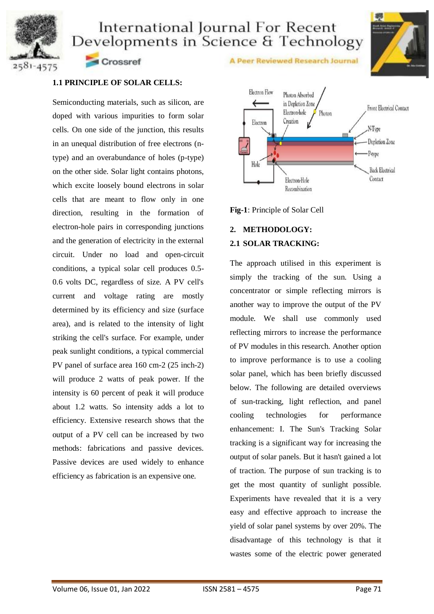



**1.1 PRINCIPLE OF SOLAR CELLS:**

Crossref

Semiconducting materials, such as silicon, are doped with various impurities to form solar cells. On one side of the junction, this results in an unequal distribution of free electrons (ntype) and an overabundance of holes (p-type) on the other side. Solar light contains photons, which excite loosely bound electrons in solar cells that are meant to flow only in one direction, resulting in the formation of electron-hole pairs in corresponding junctions and the generation of electricity in the external circuit. Under no load and open-circuit conditions, a typical solar cell produces 0.5- 0.6 volts DC, regardless of size. A PV cell's current and voltage rating are mostly determined by its efficiency and size (surface area), and is related to the intensity of light striking the cell's surface. For example, under peak sunlight conditions, a typical commercial PV panel of surface area 160 cm-2 (25 inch-2) will produce 2 watts of peak power. If the intensity is 60 percent of peak it will produce about 1.2 watts. So intensity adds a lot to efficiency. Extensive research shows that the output of a PV cell can be increased by two methods: fabrications and passive devices. Passive devices are used widely to enhance efficiency as fabrication is an expensive one.



A Peer Reviewed Research Journal

**Fig-1**: Principle of Solar Cell

### **2. METHODOLOGY: 2.1 SOLAR TRACKING:**

The approach utilised in this experiment is simply the tracking of the sun. Using a concentrator or simple reflecting mirrors is another way to improve the output of the PV module. We shall use commonly used reflecting mirrors to increase the performance of PV modules in this research. Another option to improve performance is to use a cooling solar panel, which has been briefly discussed below. The following are detailed overviews of sun-tracking, light reflection, and panel cooling technologies for performance enhancement: I. The Sun's Tracking Solar tracking is a significant way for increasing the output of solar panels. But it hasn't gained a lot of traction. The purpose of sun tracking is to get the most quantity of sunlight possible. Experiments have revealed that it is a very easy and effective approach to increase the yield of solar panel systems by over 20%. The disadvantage of this technology is that it wastes some of the electric power generated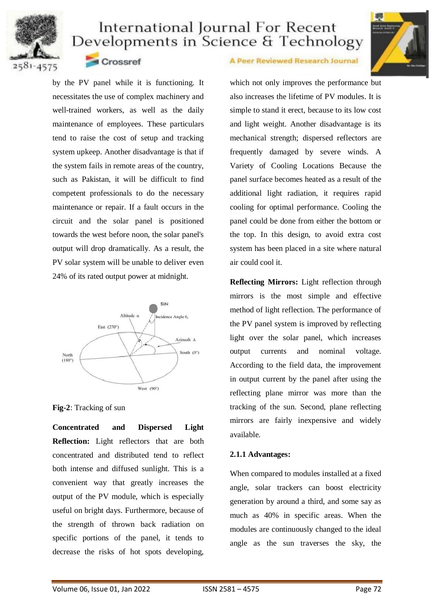



2581-4575

### Crossref

by the PV panel while it is functioning. It necessitates the use of complex machinery and well-trained workers, as well as the daily maintenance of employees. These particulars tend to raise the cost of setup and tracking system upkeep. Another disadvantage is that if the system fails in remote areas of the country, such as Pakistan, it will be difficult to find competent professionals to do the necessary maintenance or repair. If a fault occurs in the circuit and the solar panel is positioned towards the west before noon, the solar panel's output will drop dramatically. As a result, the PV solar system will be unable to deliver even 24% of its rated output power at midnight.



#### **Fig-2**: Tracking of sun

**Concentrated and Dispersed Light Reflection:** Light reflectors that are both concentrated and distributed tend to reflect both intense and diffused sunlight. This is a convenient way that greatly increases the output of the PV module, which is especially useful on bright days. Furthermore, because of the strength of thrown back radiation on specific portions of the panel, it tends to decrease the risks of hot spots developing,

#### A Peer Reviewed Research Journal

which not only improves the performance but also increases the lifetime of PV modules. It is simple to stand it erect, because to its low cost and light weight. Another disadvantage is its mechanical strength; dispersed reflectors are frequently damaged by severe winds. A Variety of Cooling Locations Because the panel surface becomes heated as a result of the additional light radiation, it requires rapid cooling for optimal performance. Cooling the panel could be done from either the bottom or the top. In this design, to avoid extra cost system has been placed in a site where natural air could cool it.

**Reflecting Mirrors:** Light reflection through mirrors is the most simple and effective method of light reflection. The performance of the PV panel system is improved by reflecting light over the solar panel, which increases output currents and nominal voltage. According to the field data, the improvement in output current by the panel after using the reflecting plane mirror was more than the tracking of the sun. Second, plane reflecting mirrors are fairly inexpensive and widely available.

### **2.1.1 Advantages:**

When compared to modules installed at a fixed angle, solar trackers can boost electricity generation by around a third, and some say as much as 40% in specific areas. When the modules are continuously changed to the ideal angle as the sun traverses the sky, the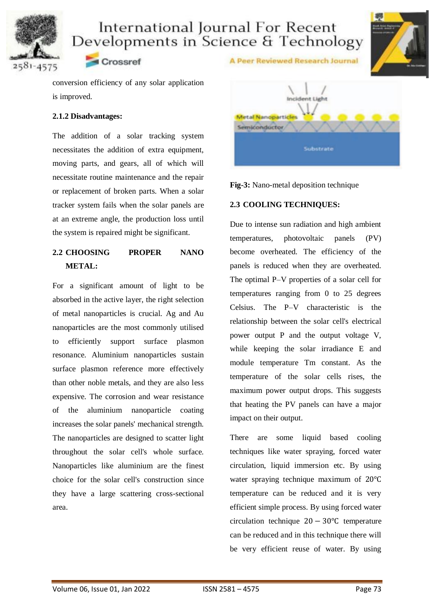



2581-4575

conversion efficiency of any solar application is improved.

Crossref

#### **2.1.2 Disadvantages:**

The addition of a solar tracking system necessitates the addition of extra equipment, moving parts, and gears, all of which will necessitate routine maintenance and the repair or replacement of broken parts. When a solar tracker system fails when the solar panels are at an extreme angle, the production loss until the system is repaired might be significant.

## **2.2 CHOOSING PROPER NANO METAL:**

For a significant amount of light to be absorbed in the active layer, the right selection of metal nanoparticles is crucial. Ag and Au nanoparticles are the most commonly utilised to efficiently support surface plasmon resonance. Aluminium nanoparticles sustain surface plasmon reference more effectively than other noble metals, and they are also less expensive. The corrosion and wear resistance of the aluminium nanoparticle coating increases the solar panels' mechanical strength. The nanoparticles are designed to scatter light throughout the solar cell's whole surface. Nanoparticles like aluminium are the finest choice for the solar cell's construction since they have a large scattering cross-sectional area.





A Peer Reviewed Research Journal

#### **2.3 COOLING TECHNIQUES:**

Due to intense sun radiation and high ambient temperatures, photovoltaic panels (PV) become overheated. The efficiency of the panels is reduced when they are overheated. The optimal P–V properties of a solar cell for temperatures ranging from 0 to 25 degrees Celsius. The P–V characteristic is the relationship between the solar cell's electrical power output P and the output voltage V, while keeping the solar irradiance E and module temperature Tm constant. As the temperature of the solar cells rises, the maximum power output drops. This suggests that heating the PV panels can have a major impact on their output.

There are some liquid based cooling techniques like water spraying, forced water circulation, liquid immersion etc. By using water spraying technique maximum of 20℃ temperature can be reduced and it is very efficient simple process. By using forced water circulation technique 20 − 30℃ temperature can be reduced and in this technique there will be very efficient reuse of water. By using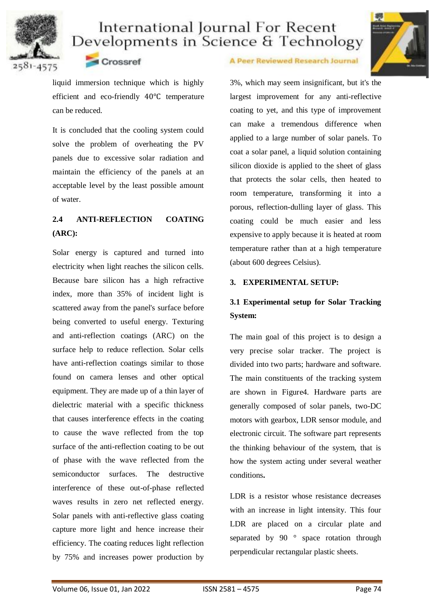



Crossref

liquid immersion technique which is highly efficient and eco-friendly 40℃ temperature can be reduced.

It is concluded that the cooling system could solve the problem of overheating the PV panels due to excessive solar radiation and maintain the efficiency of the panels at an acceptable level by the least possible amount of water.

## **2.4 ANTI-REFLECTION COATING (ARC):**

Solar energy is captured and turned into electricity when light reaches the silicon cells. Because bare silicon has a high refractive index, more than 35% of incident light is scattered away from the panel's surface before being converted to useful energy. Texturing and anti-reflection coatings (ARC) on the surface help to reduce reflection. Solar cells have anti-reflection coatings similar to those found on camera lenses and other optical equipment. They are made up of a thin layer of dielectric material with a specific thickness that causes interference effects in the coating to cause the wave reflected from the top surface of the anti-reflection coating to be out of phase with the wave reflected from the semiconductor surfaces. The destructive interference of these out-of-phase reflected waves results in zero net reflected energy. Solar panels with anti-reflective glass coating capture more light and hence increase their efficiency. The coating reduces light reflection by 75% and increases power production by

#### A Peer Reviewed Research Journal

3%, which may seem insignificant, but it's the largest improvement for any anti-reflective coating to yet, and this type of improvement can make a tremendous difference when applied to a large number of solar panels. To coat a solar panel, a liquid solution containing silicon dioxide is applied to the sheet of glass that protects the solar cells, then heated to room temperature, transforming it into a porous, reflection-dulling layer of glass. This coating could be much easier and less expensive to apply because it is heated at room temperature rather than at a high temperature (about 600 degrees Celsius).

### **3. EXPERIMENTAL SETUP:**

## **3.1 Experimental setup for Solar Tracking System:**

The main goal of this project is to design a very precise solar tracker. The project is divided into two parts; hardware and software. The main constituents of the tracking system are shown in Figure4. Hardware parts are generally composed of solar panels, two-DC motors with gearbox, LDR sensor module, and electronic circuit. The software part represents the thinking behaviour of the system, that is how the system acting under several weather conditions**.**

LDR is a resistor whose resistance decreases with an increase in light intensity. This four LDR are placed on a circular plate and separated by 90 ° space rotation through perpendicular rectangular plastic sheets.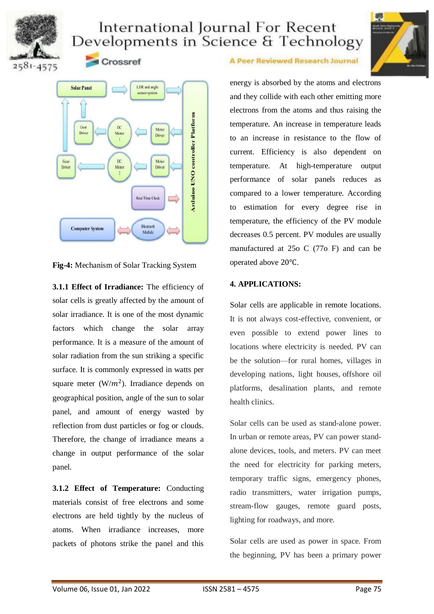





Crossref



**Fig-4:** Mechanism of Solar Tracking System

**3.1.1 Effect of Irradiance:** The efficiency of solar cells is greatly affected by the amount of solar irradiance. It is one of the most dynamic factors which change the solar array performance. It is a measure of the amount of solar radiation from the sun striking a specific surface. It is commonly expressed in watts per square meter  $(W/m^2)$ . Irradiance depends on geographical position, angle of the sun to solar panel, and amount of energy wasted by reflection from dust particles or fog or clouds. Therefore, the change of irradiance means a change in output performance of the solar panel.

**3.1.2 Effect of Temperature:** Conducting materials consist of free electrons and some electrons are held tightly by the nucleus of atoms. When irradiance increases, more packets of photons strike the panel and this

A Peer Reviewed Research Journal

energy is absorbed by the atoms and electrons and they collide with each other emitting more electrons from the atoms and thus raising the temperature. An increase in temperature leads to an increase in resistance to the flow of current. Efficiency is also dependent on temperature. At high-temperature output performance of solar panels reduces as compared to a lower temperature. According to estimation for every degree rise in temperature, the efficiency of the PV module decreases 0.5 percent. PV modules are usually manufactured at 25o C (77o F) and can be operated above 20℃.

#### **4. APPLICATIONS:**

Solar cells are applicable in remote locations. It is not always cost-effective, convenient, or even possible to extend power lines to locations where electricity is needed. PV can be the solution—for rural homes, villages in developing nations, light houses, offshore oil platforms, desalination plants, and remote health clinics.

Solar cells can be used as stand-alone power. In urban or remote areas, PV can power standalone devices, tools, and meters. PV can meet the need for electricity for parking meters, temporary traffic signs, emergency phones, radio transmitters, water irrigation pumps, stream-flow gauges, remote guard posts, lighting for roadways, and more.

Solar cells are used as power in space. From the beginning, PV has been a primary power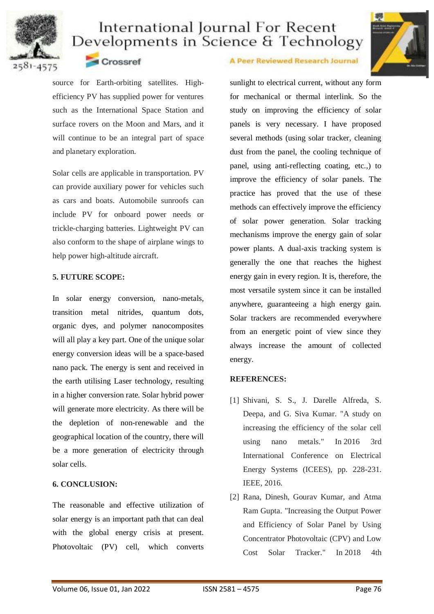



### Crossref

source for Earth-orbiting satellites. Highefficiency PV has supplied power for ventures such as the International Space Station and surface rovers on the Moon and Mars, and it will continue to be an integral part of space and planetary exploration.

Solar cells are applicable in transportation. PV can provide auxiliary power for vehicles such as cars and boats. Automobile sunroofs can include PV for onboard power needs or trickle-charging batteries. Lightweight PV can also conform to the shape of airplane wings to help power high-altitude aircraft.

### **5. FUTURE SCOPE:**

In solar energy conversion, nano-metals, transition metal nitrides, quantum dots, organic dyes, and polymer nanocomposites will all play a key part. One of the unique solar energy conversion ideas will be a space-based nano pack. The energy is sent and received in the earth utilising Laser technology, resulting in a higher conversion rate. Solar hybrid power will generate more electricity. As there will be the depletion of non-renewable and the geographical location of the country, there will be a more generation of electricity through solar cells.

### **6. CONCLUSION:**

The reasonable and effective utilization of solar energy is an important path that can deal with the global energy crisis at present. Photovoltaic (PV) cell, which converts

#### A Peer Reviewed Research Journal

sunlight to electrical current, without any form for mechanical or thermal interlink. So the study on improving the efficiency of solar panels is very necessary. I have proposed several methods (using solar tracker, cleaning dust from the panel, the cooling technique of panel, using anti-reflecting coating, etc.,) to improve the efficiency of solar panels. The practice has proved that the use of these methods can effectively improve the efficiency of solar power generation. Solar tracking mechanisms improve the energy gain of solar power plants. A dual-axis tracking system is generally the one that reaches the highest energy gain in every region. It is, therefore, the most versatile system since it can be installed anywhere, guaranteeing a high energy gain. Solar trackers are recommended everywhere from an energetic point of view since they always increase the amount of collected energy.

### **REFERENCES:**

- [1] Shivani, S. S., J. Darelle Alfreda, S. Deepa, and G. Siva Kumar. "A study on increasing the efficiency of the solar cell using nano metals." In 2016 3rd International Conference on Electrical Energy Systems (ICEES), pp. 228-231. IEEE, 2016.
- [2] Rana, Dinesh, Gourav Kumar, and Atma Ram Gupta. "Increasing the Output Power and Efficiency of Solar Panel by Using Concentrator Photovoltaic (CPV) and Low Cost Solar Tracker." In 2018 4th